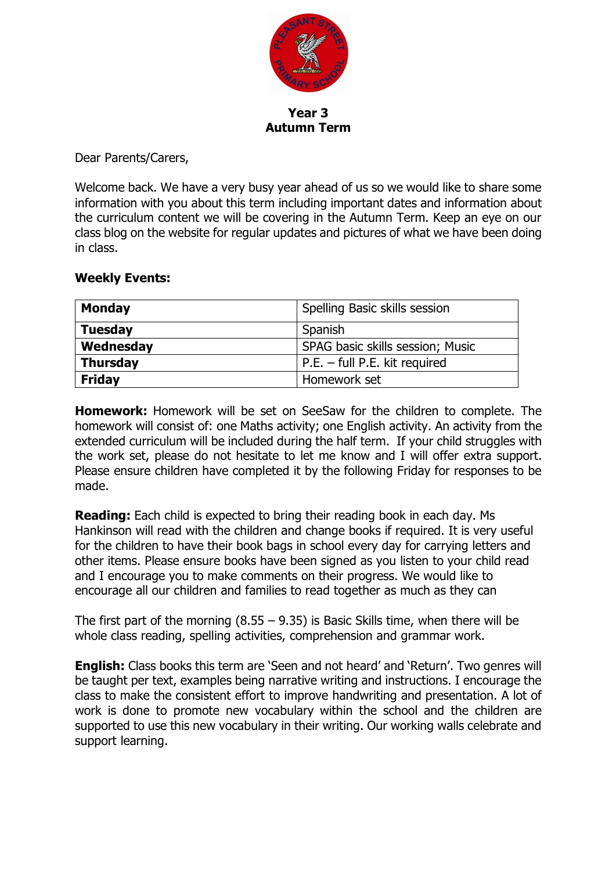

**Year 3 Autumn Term**

Dear Parents/Carers,

Welcome back. We have a very busy year ahead of us so we would like to share some information with you about this term including important dates and information about the curriculum content we will be covering in the Autumn Term. Keep an eye on our class blog on the website for regular updates and pictures of what we have been doing in class.

## **Weekly Events:**

| <b>Monday</b>                                 | Spelling Basic skills session   |  |
|-----------------------------------------------|---------------------------------|--|
| <b>Tuesday</b>                                | Spanish                         |  |
| Wednesday<br>SPAG basic skills session; Music |                                 |  |
| <b>Thursday</b>                               | $P.E. - full P.E. kit required$ |  |
| <b>Friday</b>                                 | Homework set                    |  |

**Homework:** Homework will be set on SeeSaw for the children to complete. The homework will consist of: one Maths activity; one English activity. An activity from the extended curriculum will be included during the half term. If your child struggles with the work set, please do not hesitate to let me know and I will offer extra support. Please ensure children have completed it by the following Friday for responses to be made.

**Reading:** Each child is expected to bring their reading book in each day. Ms Hankinson will read with the children and change books if required. It is very useful for the children to have their book bags in school every day for carrying letters and other items. Please ensure books have been signed as you listen to your child read and I encourage you to make comments on their progress. We would like to encourage all our children and families to read together as much as they can

The first part of the morning  $(8.55 - 9.35)$  is Basic Skills time, when there will be whole class reading, spelling activities, comprehension and grammar work.

**English:** Class books this term are 'Seen and not heard' and 'Return'. Two genres will be taught per text, examples being narrative writing and instructions. I encourage the class to make the consistent effort to improve handwriting and presentation. A lot of work is done to promote new vocabulary within the school and the children are supported to use this new vocabulary in their writing. Our working walls celebrate and support learning.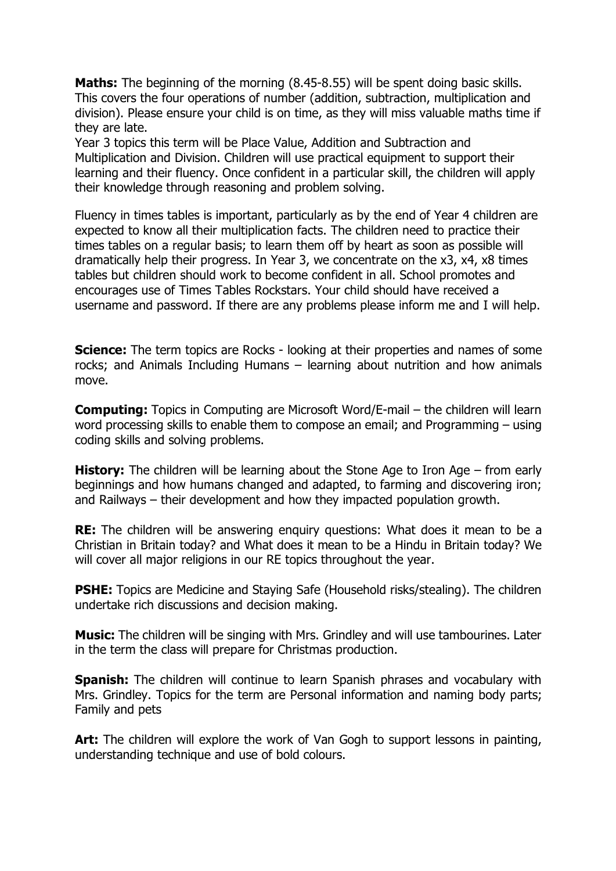**Maths:** The beginning of the morning (8.45-8.55) will be spent doing basic skills. This covers the four operations of number (addition, subtraction, multiplication and division). Please ensure your child is on time, as they will miss valuable maths time if they are late.

Year 3 topics this term will be Place Value, Addition and Subtraction and Multiplication and Division. Children will use practical equipment to support their learning and their fluency. Once confident in a particular skill, the children will apply their knowledge through reasoning and problem solving.

Fluency in times tables is important, particularly as by the end of Year 4 children are expected to know all their multiplication facts. The children need to practice their times tables on a regular basis; to learn them off by heart as soon as possible will dramatically help their progress. In Year 3, we concentrate on the x3, x4, x8 times tables but children should work to become confident in all. School promotes and encourages use of Times Tables Rockstars. Your child should have received a username and password. If there are any problems please inform me and I will help.

**Science:** The term topics are Rocks - looking at their properties and names of some rocks; and Animals Including Humans – learning about nutrition and how animals move.

**Computing:** Topics in Computing are Microsoft Word/E-mail – the children will learn word processing skills to enable them to compose an email; and Programming – using coding skills and solving problems.

**History:** The children will be learning about the Stone Age to Iron Age – from early beginnings and how humans changed and adapted, to farming and discovering iron; and Railways – their development and how they impacted population growth.

**RE:** The children will be answering enguiry questions: What does it mean to be a Christian in Britain today? and What does it mean to be a Hindu in Britain today? We will cover all major religions in our RE topics throughout the year.

**PSHE:** Topics are Medicine and Staying Safe (Household risks/stealing). The children undertake rich discussions and decision making.

**Music:** The children will be singing with Mrs. Grindley and will use tambourines. Later in the term the class will prepare for Christmas production.

**Spanish:** The children will continue to learn Spanish phrases and vocabulary with Mrs. Grindley. Topics for the term are Personal information and naming body parts; Family and pets

**Art:** The children will explore the work of Van Gogh to support lessons in painting, understanding technique and use of bold colours.